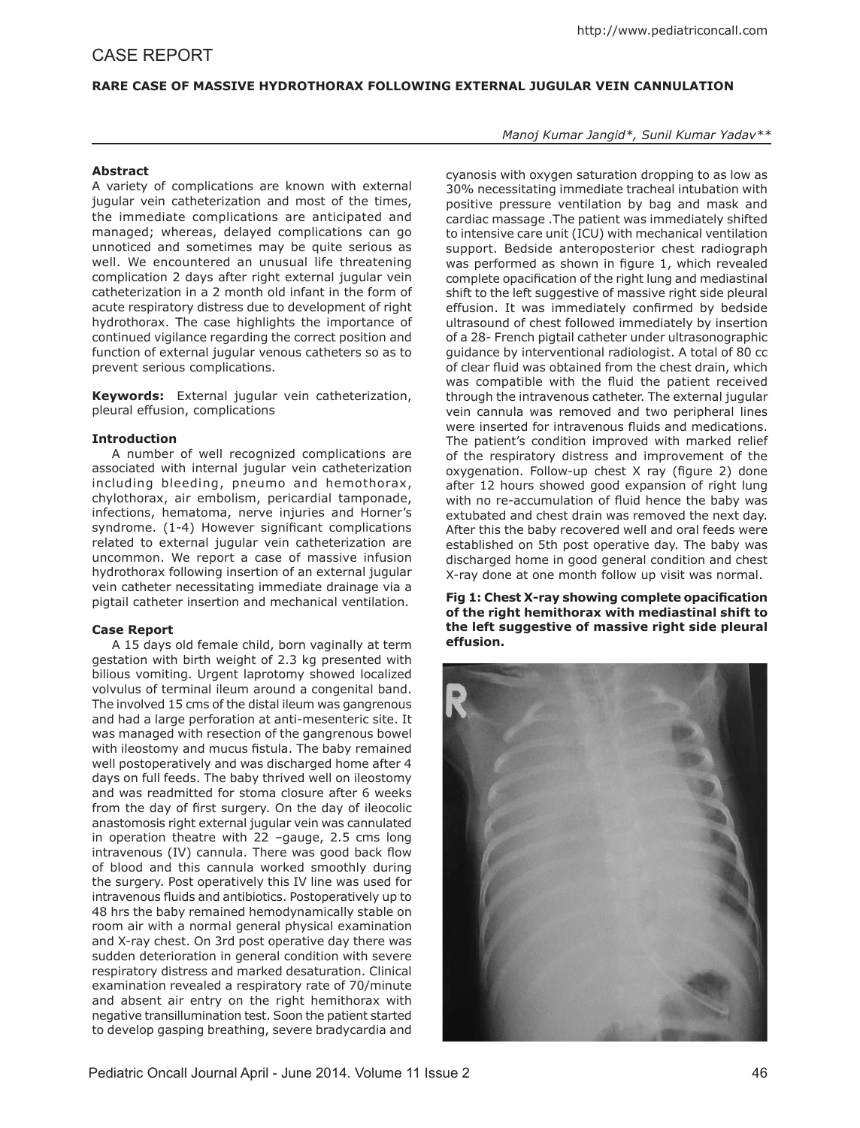# **Rare Case of Massive Hydrothorax Following External Jugular Vein Cannulation**

# **Abstract**

A variety of complications are known with external jugular vein catheterization and most of the times, the immediate complications are anticipated and managed; whereas, delayed complications can go unnoticed and sometimes may be quite serious as well. We encountered an unusual life threatening complication 2 days after right external jugular vein catheterization in a 2 month old infant in the form of acute respiratory distress due to development of right hydrothorax. The case highlights the importance of continued vigilance regarding the correct position and function of external jugular venous catheters so as to prevent serious complications.

**Keywords:** External jugular vein catheterization, pleural effusion, complications

### **Introduction**

A number of well recognized complications are associated with internal jugular vein catheterization including bleeding, pneumo and hemothorax, chylothorax, air embolism, pericardial tamponade, infections, hematoma, nerve injuries and Horner's syndrome. (1-4) However significant complications related to external jugular vein catheterization are uncommon. We report a case of massive infusion hydrothorax following insertion of an external jugular vein catheter necessitating immediate drainage via a pigtail catheter insertion and mechanical ventilation.

#### **Case Report**

A 15 days old female child, born vaginally at term gestation with birth weight of 2.3 kg presented with bilious vomiting. Urgent laprotomy showed localized volvulus of terminal ileum around a congenital band. The involved 15 cms of the distal ileum was gangrenous and had a large perforation at anti-mesenteric site. It was managed with resection of the gangrenous bowel with ileostomy and mucus fistula. The baby remained well postoperatively and was discharged home after 4 days on full feeds. The baby thrived well on ileostomy and was readmitted for stoma closure after 6 weeks from the day of first surgery. On the day of ileocolic anastomosis right external jugular vein was cannulated in operation theatre with 22 –gauge, 2.5 cms long intravenous (IV) cannula. There was good back flow of blood and this cannula worked smoothly during the surgery. Post operatively this IV line was used for intravenous fluids and antibiotics. Postoperatively up to 48 hrs the baby remained hemodynamically stable on room air with a normal general physical examination and X-ray chest. On 3rd post operative day there was sudden deterioration in general condition with severe respiratory distress and marked desaturation. Clinical examination revealed a respiratory rate of 70/minute and absent air entry on the right hemithorax with negative transillumination test. Soon the patient started to develop gasping breathing, severe bradycardia and

*Manoj Kumar Jangid\*, Sunil Kumar Yadav\*\**

cyanosis with oxygen saturation dropping to as low as 30% necessitating immediate tracheal intubation with positive pressure ventilation by bag and mask and cardiac massage .The patient was immediately shifted to intensive care unit (ICU) with mechanical ventilation support. Bedside anteroposterior chest radiograph was performed as shown in figure 1, which revealed complete opacification of the right lung and mediastinal shift to the left suggestive of massive right side pleural effusion. It was immediately confirmed by bedside ultrasound of chest followed immediately by insertion of a 28- French pigtail catheter under ultrasonographic guidance by interventional radiologist. A total of 80 cc of clear fluid was obtained from the chest drain, which was compatible with the fluid the patient received through the intravenous catheter. The external jugular vein cannula was removed and two peripheral lines were inserted for intravenous fluids and medications. The patient's condition improved with marked relief of the respiratory distress and improvement of the oxygenation. Follow-up chest X ray (figure 2) done after 12 hours showed good expansion of right lung with no re-accumulation of fluid hence the baby was extubated and chest drain was removed the next day. After this the baby recovered well and oral feeds were established on 5th post operative day. The baby was discharged home in good general condition and chest X-ray done at one month follow up visit was normal.

**Fig 1: Chest X-ray showing complete opacification of the right hemithorax with mediastinal shift to the left suggestive of massive right side pleural effusion.**